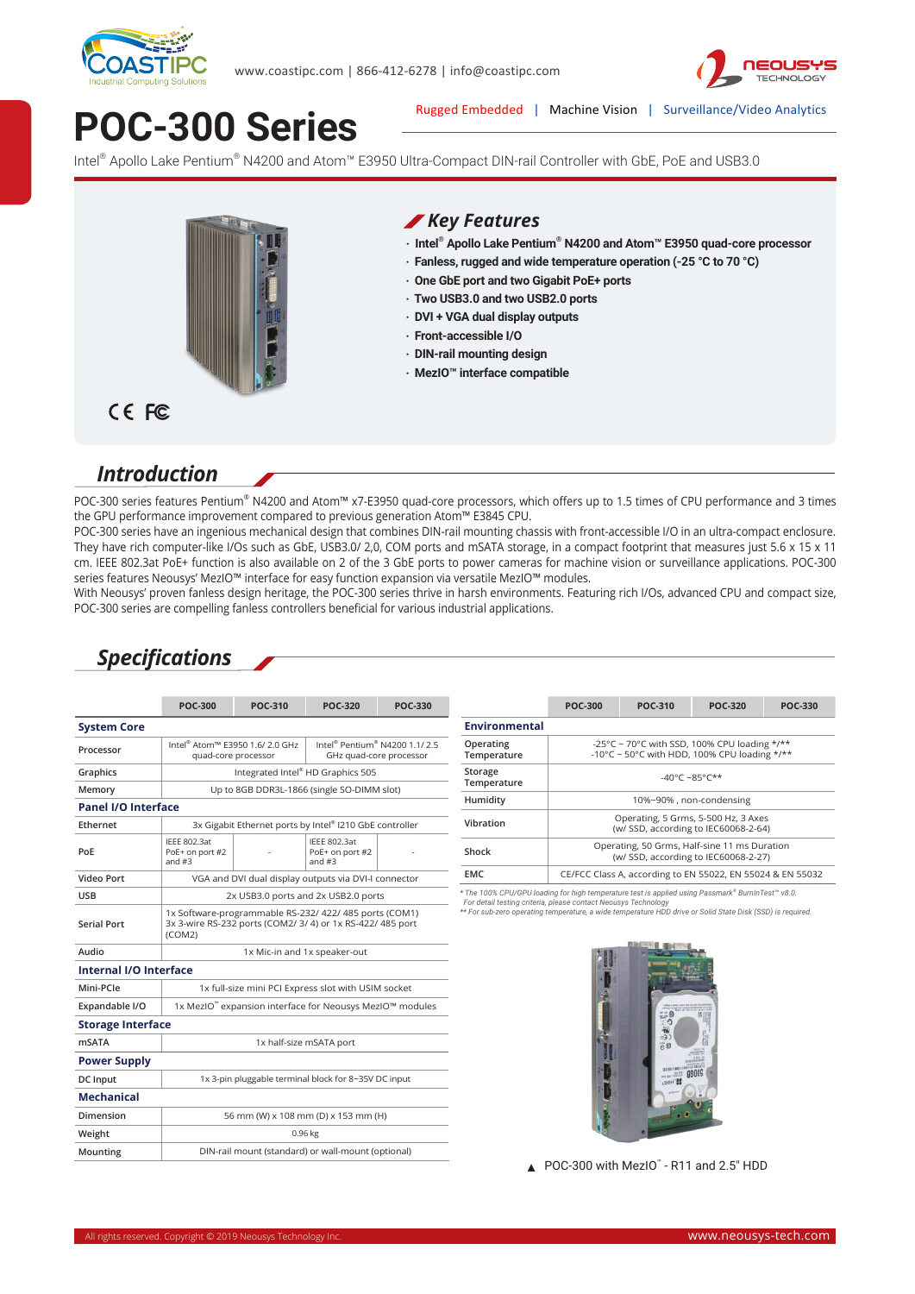



# **POC-300 Series**

Rugged Embedded | Machine Vision | Surveillance/Video Analytics

Intel® Apollo Lake Pentium® N4200 and Atom™ E3950 Ultra-Compact DIN-rail Controller with GbE, PoE and USB3.0



#### *Key Features*

- **‧ Intel® Apollo Lake Pentium® N4200 and Atom™ E3950 quad-core processor**
- **‧ Fanless, rugged and wide temperature operation (-25 °C to 70 °C)**
- **‧ One GbE port and two Gigabit PoE+ ports**
- **‧ Two USB3.0 and two USB2.0 ports**
- **‧ DVI + VGA dual display outputs**
- **‧ Front-accessible I/O**
- **‧ DIN-rail mounting design**
- **‧ MezIO™ interface compatible**

#### CE FC

### *Introduction*

POC-300 series features Pentium® N4200 and Atom™ x7-E3950 quad-core processors, which offers up to 1.5 times of CPU performance and 3 times the GPU performance improvement compared to previous generation Atom™ E3845 CPU.

POC-300 series have an ingenious mechanical design that combines DIN-rail mounting chassis with front-accessible I/O in an ultra-compact enclosure. They have rich computer-like I/Os such as GbE, USB3.0/ 2,0, COM ports and mSATA storage, in a compact footprint that measures just 5.6 x 15 x 11 cm. IEEE 802.3at PoE+ function is also available on 2 of the 3 GbE ports to power cameras for machine vision or surveillance applications. POC-300 series features Neousys' MezIO™ interface for easy function expansion via versatile MezIO™ modules.

With Neousys' proven fanless design heritage, the POC-300 series thrive in harsh environments. Featuring rich I/Os, advanced CPU and compact size, POC-300 series are compelling fanless controllers beneficial for various industrial applications.

### *Specifications*

|                            | <b>POC-300</b>                                                                                                                                         | <b>POC-310</b>                                                                                                       | <b>POC-320</b>                                     | <b>POC-330</b>           |                                                                                                                                                                                                                                                                                   | <b>POC-300</b>                                                                       | <b>POC-310</b> | <b>POC-320</b>          | <b>POC-330</b> |  |
|----------------------------|--------------------------------------------------------------------------------------------------------------------------------------------------------|----------------------------------------------------------------------------------------------------------------------|----------------------------------------------------|--------------------------|-----------------------------------------------------------------------------------------------------------------------------------------------------------------------------------------------------------------------------------------------------------------------------------|--------------------------------------------------------------------------------------|----------------|-------------------------|----------------|--|
| <b>System Core</b>         |                                                                                                                                                        |                                                                                                                      |                                                    |                          | <b>Environmental</b>                                                                                                                                                                                                                                                              |                                                                                      |                |                         |                |  |
| Processor                  | Intel <sup>®</sup> Pentium <sup>®</sup> N4200 1.1/2.5<br>Intel <sup>®</sup> Atom™ E3950 1.6/ 2.0 GHz<br>GHz quad-core processor<br>quad-core processor |                                                                                                                      |                                                    | Operating<br>Temperature | -25°C ~ 70°C with SSD, 100% CPU loading */**<br>-10°C ~ 50°C with HDD. 100% CPU loading $*/**$                                                                                                                                                                                    |                                                                                      |                |                         |                |  |
| Graphics                   | Integrated Intel® HD Graphics 505                                                                                                                      |                                                                                                                      |                                                    |                          | Storage                                                                                                                                                                                                                                                                           | -40°C ~85°C**                                                                        |                |                         |                |  |
| Memory                     |                                                                                                                                                        | Up to 8GB DDR3L-1866 (single SO-DIMM slot)                                                                           |                                                    |                          | Temperature                                                                                                                                                                                                                                                                       |                                                                                      |                |                         |                |  |
| <b>Panel I/O Interface</b> |                                                                                                                                                        |                                                                                                                      |                                                    |                          | Humidity                                                                                                                                                                                                                                                                          |                                                                                      |                | 10%~90%, non-condensing |                |  |
| Ethernet                   | 3x Gigabit Ethernet ports by Intel® I210 GbE controller                                                                                                |                                                                                                                      |                                                    |                          | Vibration                                                                                                                                                                                                                                                                         | Operating, 5 Grms, 5-500 Hz, 3 Axes<br>(w/ SSD, according to IEC60068-2-64)          |                |                         |                |  |
| PoE                        | IEEE 802.3at<br>PoE+ on port #2<br>and $#3$                                                                                                            |                                                                                                                      | <b>IEEE 802.3at</b><br>PoE+ on port #2<br>and $#3$ |                          | Shock                                                                                                                                                                                                                                                                             | Operating, 50 Grms, Half-sine 11 ms Duration<br>(w/ SSD, according to IEC60068-2-27) |                |                         |                |  |
| Video Port                 |                                                                                                                                                        | VGA and DVI dual display outputs via DVI-I connector                                                                 |                                                    |                          | <b>EMC</b>                                                                                                                                                                                                                                                                        | CE/FCC Class A, according to EN 55022, EN 55024 & EN 55032                           |                |                         |                |  |
| <b>USB</b>                 |                                                                                                                                                        | 2x USB3.0 ports and 2x USB2.0 ports                                                                                  |                                                    |                          | * The 100% CPU/GPU loading for high temperature test is applied using Passmark® BurnInTest™ v8.0.<br>For detail testing criteria, please contact Neousys Technology<br>** For sub-zero operating temperature, a wide temperature HDD drive or Solid State Disk (SSD) is required. |                                                                                      |                |                         |                |  |
| <b>Serial Port</b>         | (COM2)                                                                                                                                                 | 1x Software-programmable RS-232/ 422/ 485 ports (COM1)<br>3x 3-wire RS-232 ports (COM2/ 3/ 4) or 1x RS-422/ 485 port |                                                    |                          |                                                                                                                                                                                                                                                                                   |                                                                                      |                |                         |                |  |
| Audio                      | 1x Mic-in and 1x speaker-out                                                                                                                           |                                                                                                                      |                                                    |                          |                                                                                                                                                                                                                                                                                   |                                                                                      |                |                         |                |  |
| Internal I/O Interface     |                                                                                                                                                        |                                                                                                                      |                                                    |                          |                                                                                                                                                                                                                                                                                   |                                                                                      |                |                         |                |  |
| Mini-PCle                  | 1x full-size mini PCI Express slot with USIM socket                                                                                                    |                                                                                                                      |                                                    |                          |                                                                                                                                                                                                                                                                                   |                                                                                      |                |                         |                |  |
| Expandable I/O             | 1x MezIO™ expansion interface for Neousys MezIO™ modules                                                                                               |                                                                                                                      |                                                    |                          |                                                                                                                                                                                                                                                                                   |                                                                                      |                |                         |                |  |
| <b>Storage Interface</b>   |                                                                                                                                                        |                                                                                                                      |                                                    |                          |                                                                                                                                                                                                                                                                                   |                                                                                      | ۰              |                         |                |  |
| <b>mSATA</b>               |                                                                                                                                                        |                                                                                                                      | 1x half-size mSATA port                            |                          |                                                                                                                                                                                                                                                                                   | 930<br>云目                                                                            |                |                         |                |  |
| <b>Power Supply</b>        |                                                                                                                                                        |                                                                                                                      |                                                    |                          |                                                                                                                                                                                                                                                                                   |                                                                                      |                |                         |                |  |
| DC Input                   | 1x 3-pin pluggable terminal block for 8~35V DC input                                                                                                   |                                                                                                                      |                                                    |                          |                                                                                                                                                                                                                                                                                   |                                                                                      | <b>ISOH ED</b> |                         |                |  |
| <b>Mechanical</b>          |                                                                                                                                                        |                                                                                                                      |                                                    |                          |                                                                                                                                                                                                                                                                                   |                                                                                      |                |                         |                |  |
| Dimension                  |                                                                                                                                                        | 56 mm (W) x 108 mm (D) x 153 mm (H)                                                                                  |                                                    |                          |                                                                                                                                                                                                                                                                                   |                                                                                      | 0 <sup>o</sup> |                         |                |  |
| Weight                     |                                                                                                                                                        |                                                                                                                      | 0.96 kg                                            |                          |                                                                                                                                                                                                                                                                                   |                                                                                      |                |                         |                |  |
| Mounting                   |                                                                                                                                                        | DIN-rail mount (standard) or wall-mount (optional)                                                                   |                                                    |                          |                                                                                                                                                                                                                                                                                   |                                                                                      |                |                         |                |  |

POC-300 with MezIO" - R11 and 2.5" HDD